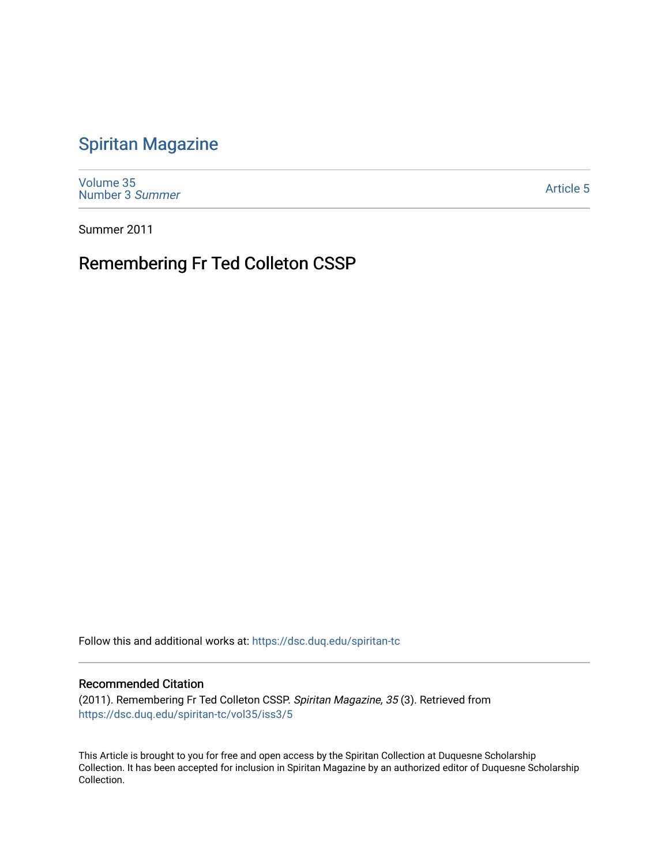# [Spiritan Magazine](https://dsc.duq.edu/spiritan-tc)

[Volume 35](https://dsc.duq.edu/spiritan-tc/vol35) [Number 3](https://dsc.duq.edu/spiritan-tc/vol35/iss3) Summer

[Article 5](https://dsc.duq.edu/spiritan-tc/vol35/iss3/5) 

Summer 2011

# Remembering Fr Ted Colleton CSSP

Follow this and additional works at: [https://dsc.duq.edu/spiritan-tc](https://dsc.duq.edu/spiritan-tc?utm_source=dsc.duq.edu%2Fspiritan-tc%2Fvol35%2Fiss3%2F5&utm_medium=PDF&utm_campaign=PDFCoverPages)

# Recommended Citation

(2011). Remembering Fr Ted Colleton CSSP. Spiritan Magazine, 35 (3). Retrieved from [https://dsc.duq.edu/spiritan-tc/vol35/iss3/5](https://dsc.duq.edu/spiritan-tc/vol35/iss3/5?utm_source=dsc.duq.edu%2Fspiritan-tc%2Fvol35%2Fiss3%2F5&utm_medium=PDF&utm_campaign=PDFCoverPages) 

This Article is brought to you for free and open access by the Spiritan Collection at Duquesne Scholarship Collection. It has been accepted for inclusion in Spiritan Magazine by an authorized editor of Duquesne Scholarship Collection.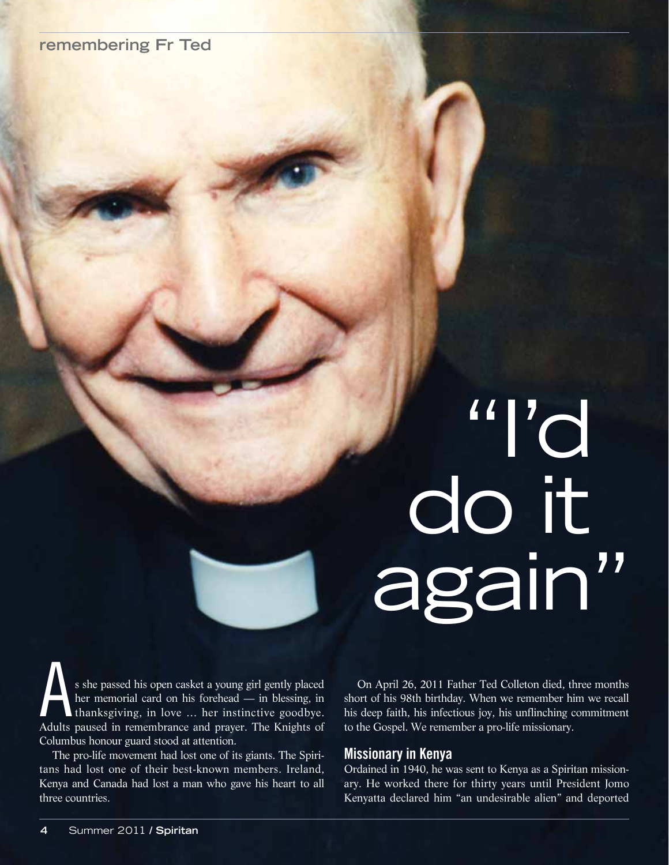# **remembering Fr Ted**

# "I'd do it again"

s she passed his open casket a young girl gently placed<br>her memorial card on his forehead — in blessing, in<br>thanksgiving, in love ... her instinctive goodbye.<br>Adults paused in remembrance and praver. The Knights of her memorial card on his forehead — in blessing, in thanksgiving, in love … her instinctive goodbye. Adults paused in remembrance and prayer. The Knights of Columbus honour guard stood at attention.

The pro-life movement had lost one of its giants. The Spiritans had lost one of their best-known members. Ireland, Kenya and Canada had lost a man who gave his heart to all three countries.

On April 26, 2011 Father Ted Colleton died, three months short of his 98th birthday. When we remember him we recall his deep faith, his infectious joy, his unflinching commitment to the Gospel. We remember a pro-life missionary.

# **Missionary in Kenya**

Ordained in 1940, he was sent to Kenya as a Spiritan missionary. He worked there for thirty years until President Jomo Kenyatta declared him "an undesirable alien" and deported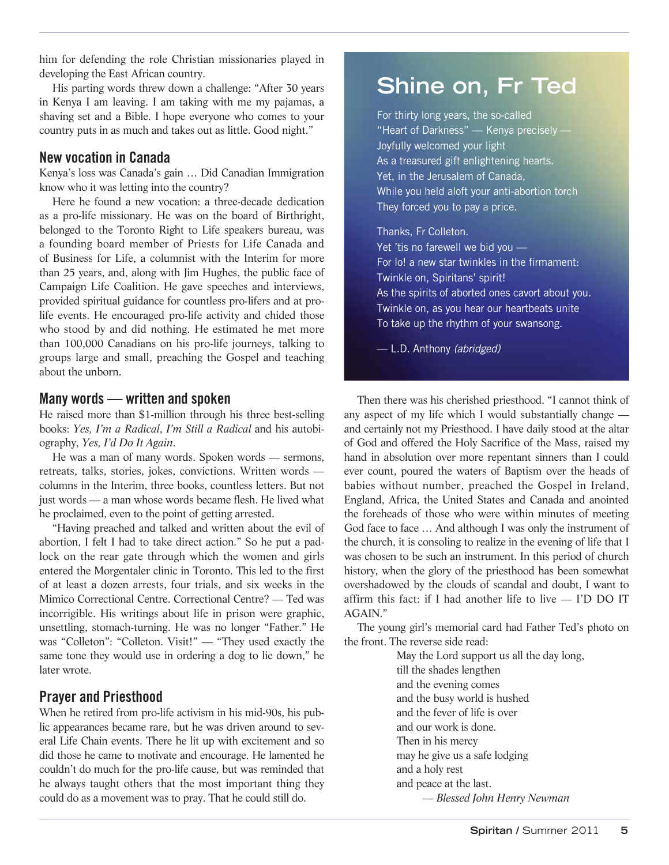him for defending the role Christian missionaries played in developing the East African country.

His parting words threw down a challenge: "After 30 years in Kenya I am leaving. I am taking with me my pajamas, a shaving set and a Bible. I hope everyone who comes to your country puts in as much and takes out as little. Good night."

# **New vocation in Canada**

Kenya's loss was Canada's gain … Did Canadian Immigration know who it was letting into the country?

Here he found a new vocation: a three-decade dedication as a pro-life missionary. He was on the board of Birthright, belonged to the Toronto Right to Life speakers bureau, was a founding board member of Priests for Life Canada and of Business for Life, a columnist with the Interim for more than 25 years, and, along with Jim Hughes, the public face of Campaign Life Coalition. He gave speeches and interviews, provided spiritual guidance for countless pro-lifers and at prolife events. He encouraged pro-life activity and chided those who stood by and did nothing. He estimated he met more than 100,000 Canadians on his pro-life journeys, talking to groups large and small, preaching the Gospel and teaching about the unborn.

# **Many words — written and spoken**

He raised more than \$1-million through his three best-selling books: *Yes, I'm a Radical*, *I'm Still a Radical* and his autobiography, *Yes, I'd Do It Again*.

He was a man of many words. Spoken words — sermons, retreats, talks, stories, jokes, convictions. Written words columns in the Interim, three books, countless letters. But not just words — a man whose words became flesh. He lived what he proclaimed, even to the point of getting arrested.

"Having preached and talked and written about the evil of abortion, I felt I had to take direct action." So he put a padlock on the rear gate through which the women and girls entered the Morgentaler clinic in Toronto. This led to the first of at least a dozen arrests, four trials, and six weeks in the Mimico Correctional Centre. Correctional Centre? — Ted was incorrigible. His writings about life in prison were graphic, unsettling, stomach-turning. He was no longer "Father." He was "Colleton": "Colleton. Visit!" — "They used exactly the same tone they would use in ordering a dog to lie down," he later wrote.

# **Prayer and Priesthood**

When he retired from pro-life activism in his mid-90s, his public appearances became rare, but he was driven around to several Life Chain events. There he lit up with excitement and so did those he came to motivate and encourage. He lamented he couldn't do much for the pro-life cause, but was reminded that he always taught others that the most important thing they could do as a movement was to pray. That he could still do.

# **Shine on, Fr Ted**

For thirty long years, the so-called "Heart of Darkness" — Kenya precisely — Joyfully welcomed your light As a treasured gift enlightening hearts. Yet, in the Jerusalem of Canada, While you held aloft your anti-abortion torch They forced you to pay a price.

# Thanks, Fr Colleton.

Yet 'tis no farewell we bid you — For lo! a new star twinkles in the firmament: Twinkle on, Spiritans' spirit! As the spirits of aborted ones cavort about you. Twinkle on, as you hear our heartbeats unite To take up the rhythm of your swansong.

-L.D. Anthony (abridged)

Then there was his cherished priesthood. "I cannot think of any aspect of my life which I would substantially change and certainly not my Priesthood. I have daily stood at the altar of God and offered the Holy Sacrifice of the Mass, raised my hand in absolution over more repentant sinners than I could ever count, poured the waters of Baptism over the heads of babies without number, preached the Gospel in Ireland, England, Africa, the United States and Canada and anointed the foreheads of those who were within minutes of meeting God face to face … And although I was only the instrument of the church, it is consoling to realize in the evening of life that I was chosen to be such an instrument. In this period of church history, when the glory of the priesthood has been somewhat overshadowed by the clouds of scandal and doubt, I want to affirm this fact: if I had another life to live — I'D DO IT AGAIN."

The young girl's memorial card had Father Ted's photo on the front. The reverse side read:

> May the Lord support us all the day long, till the shades lengthen and the evening comes and the busy world is hushed and the fever of life is over and our work is done. Then in his mercy may he give us a safe lodging and a holy rest and peace at the last. *— Blessed John Henry Newman*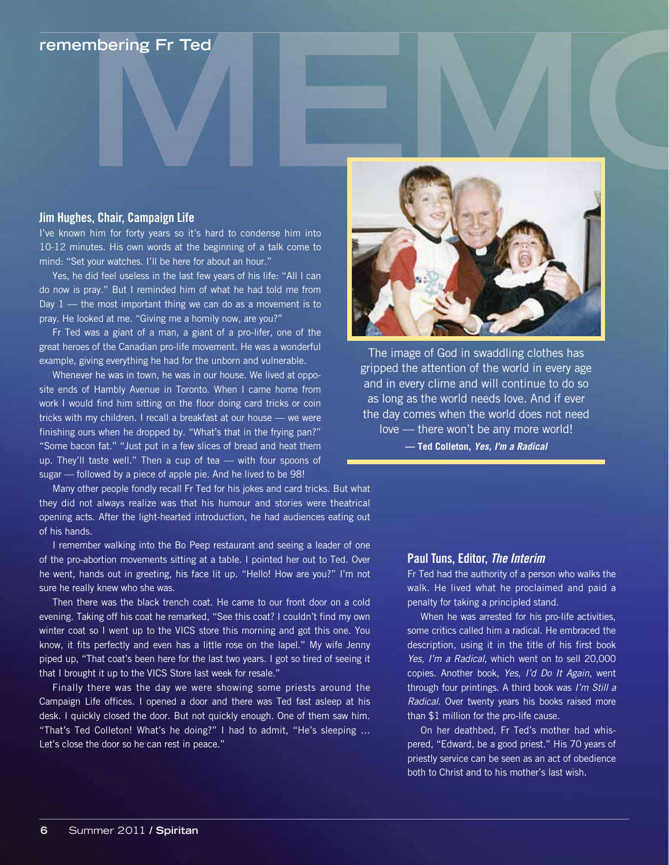# **remembering Fr Ted**

### **Jim Hughes, Chair, Campaign Life**

I've known him for forty years so it's hard to condense him into 10-12 minutes. His own words at the beginning of a talk come to mind: "Set your watches. I'll be here for about an hour."

Yes, he did feel useless in the last few years of his life: "All I can do now is pray." But I reminded him of what he had told me from Day  $1$  — the most important thing we can do as a movement is to pray. He looked at me. "Giving me a homily now, are you?"

Fr Ted was a giant of a man, a giant of a pro-lifer, one of the great heroes of the Canadian pro-life movement. He was a wonderful example, giving everything he had for the unborn and vulnerable.

Whenever he was in town, he was in our house. We lived at opposite ends of Hambly Avenue in Toronto. When I came home from work I would find him sitting on the floor doing card tricks or coin tricks with my children. I recall a breakfast at our house — we were finishing ours when he dropped by. "What's that in the frying pan?" "Some bacon fat." "Just put in a few slices of bread and heat them up. They'll taste well." Then a cup of tea — with four spoons of sugar — followed by a piece of apple pie. And he lived to be 98!

Many other people fondly recall Fr Ted for his jokes and card tricks. But what they did not always realize was that his humour and stories were theatrical opening acts. After the light-hearted introduction, he had audiences eating out of his hands.

I remember walking into the Bo Peep restaurant and seeing a leader of one of the pro-abortion movements sitting at a table. I pointed her out to Ted. Over he went, hands out in greeting, his face lit up. "Hello! How are you?" I'm not sure he really knew who she was.

Then there was the black trench coat. He came to our front door on a cold evening. Taking off his coat he remarked, "See this coat? I couldn't find my own winter coat so I went up to the VICS store this morning and got this one. You know, it fits perfectly and even has a little rose on the lapel." My wife Jenny piped up, "That coat's been here for the last two years. I got so tired of seeing it that I brought it up to the VICS Store last week for resale."

Finally there was the day we were showing some priests around the Campaign Life offices. I opened a door and there was Ted fast asleep at his desk. I quickly closed the door. But not quickly enough. One of them saw him. "That's Ted Colleton! What's he doing?" I had to admit, "He's sleeping … Let's close the door so he can rest in peace."



The image of God in swaddling clothes has gripped the attention of the world in every age and in every clime and will continue to do so as long as the world needs love. And if ever the day comes when the world does not need love — there won't be any more world! **— Ted Colleton, Yes, I'm a Radical**

### **Paul Tuns, Editor, The Interim**

Fr Ted had the authority of a person who walks the walk. He lived what he proclaimed and paid a penalty for taking a principled stand.

When he was arrested for his pro-life activities, some critics called him a radical. He embraced the description, using it in the title of his first book Yes, I'm a Radical, which went on to sell 20,000 copies. Another book, Yes, I'd Do It Again, went through four printings. A third book was I'm Still a Radical. Over twenty years his books raised more than \$1 million for the pro-life cause.

On her deathbed, Fr Ted's mother had whispered, "Edward, be a good priest." His 70 years of priestly service can be seen as an act of obedience both to Christ and to his mother's last wish.